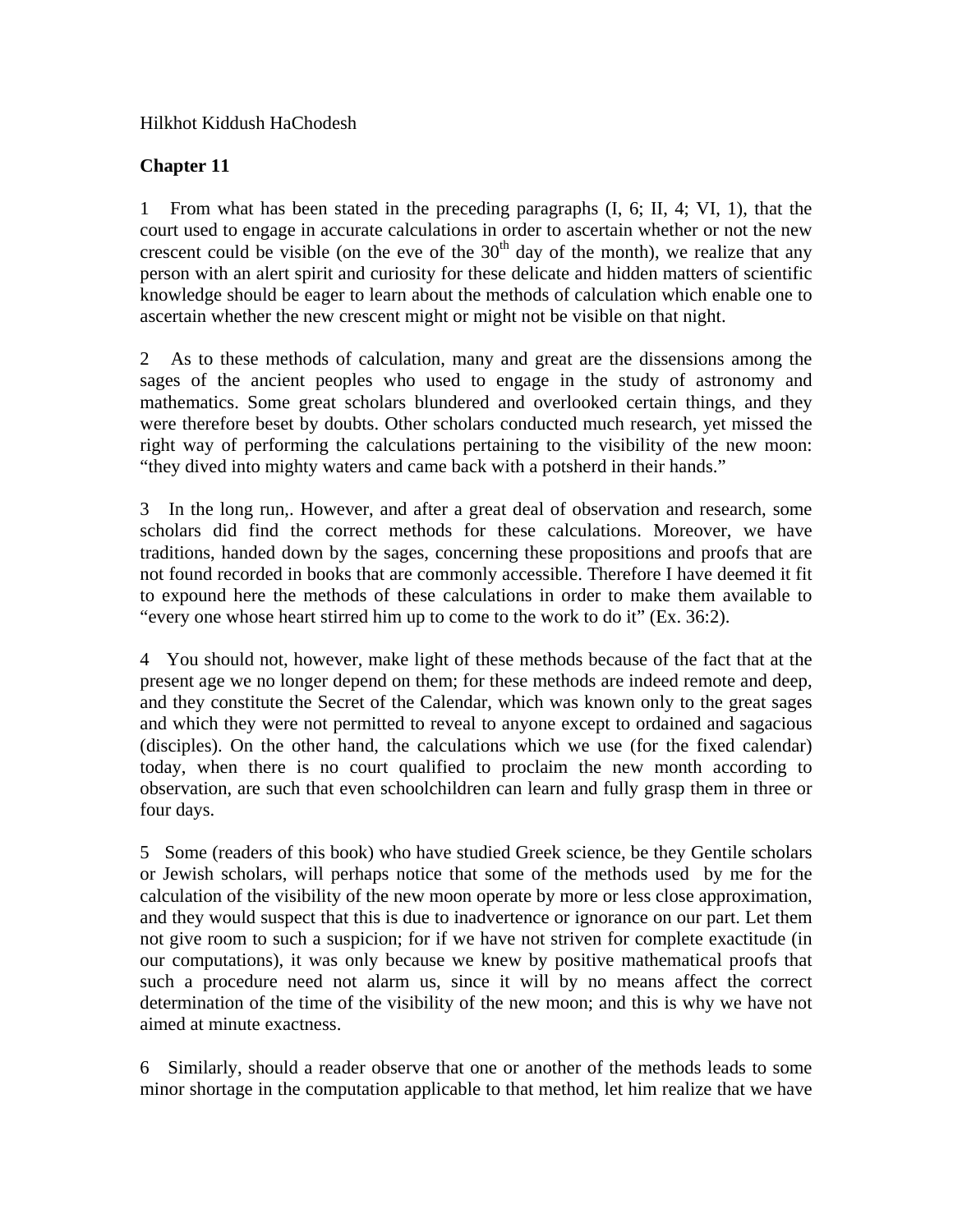## Hilkhot Kiddush HaChodesh

# **Chapter 11**

1 From what has been stated in the preceding paragraphs (I, 6; II, 4; VI, 1), that the court used to engage in accurate calculations in order to ascertain whether or not the new crescent could be visible (on the eve of the  $30<sup>th</sup>$  day of the month), we realize that any person with an alert spirit and curiosity for these delicate and hidden matters of scientific knowledge should be eager to learn about the methods of calculation which enable one to ascertain whether the new crescent might or might not be visible on that night.

2 As to these methods of calculation, many and great are the dissensions among the sages of the ancient peoples who used to engage in the study of astronomy and mathematics. Some great scholars blundered and overlooked certain things, and they were therefore beset by doubts. Other scholars conducted much research, yet missed the right way of performing the calculations pertaining to the visibility of the new moon: "they dived into mighty waters and came back with a potsherd in their hands."

3 In the long run,. However, and after a great deal of observation and research, some scholars did find the correct methods for these calculations. Moreover, we have traditions, handed down by the sages, concerning these propositions and proofs that are not found recorded in books that are commonly accessible. Therefore I have deemed it fit to expound here the methods of these calculations in order to make them available to "every one whose heart stirred him up to come to the work to do it" (Ex. 36:2).

4 You should not, however, make light of these methods because of the fact that at the present age we no longer depend on them; for these methods are indeed remote and deep, and they constitute the Secret of the Calendar, which was known only to the great sages and which they were not permitted to reveal to anyone except to ordained and sagacious (disciples). On the other hand, the calculations which we use (for the fixed calendar) today, when there is no court qualified to proclaim the new month according to observation, are such that even schoolchildren can learn and fully grasp them in three or four days.

5 Some (readers of this book) who have studied Greek science, be they Gentile scholars or Jewish scholars, will perhaps notice that some of the methods used by me for the calculation of the visibility of the new moon operate by more or less close approximation, and they would suspect that this is due to inadvertence or ignorance on our part. Let them not give room to such a suspicion; for if we have not striven for complete exactitude (in our computations), it was only because we knew by positive mathematical proofs that such a procedure need not alarm us, since it will by no means affect the correct determination of the time of the visibility of the new moon; and this is why we have not aimed at minute exactness.

6 Similarly, should a reader observe that one or another of the methods leads to some minor shortage in the computation applicable to that method, let him realize that we have